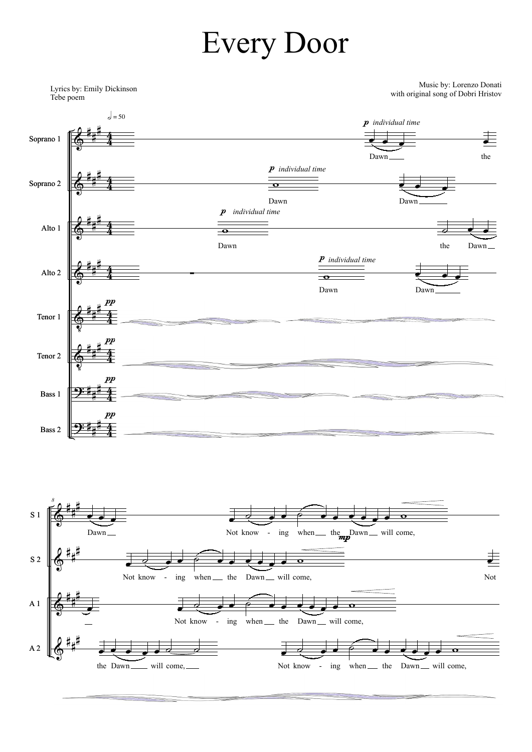## Every Door



the Dawn

- will come,

Not know - ing when the Dawn \_ will come, -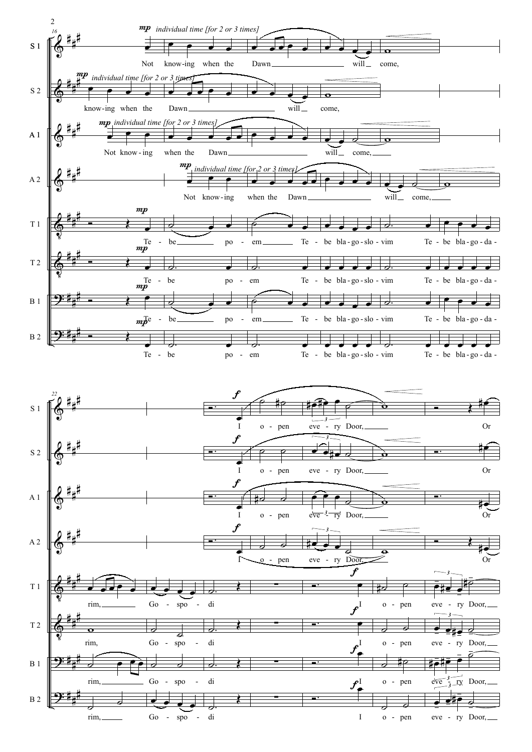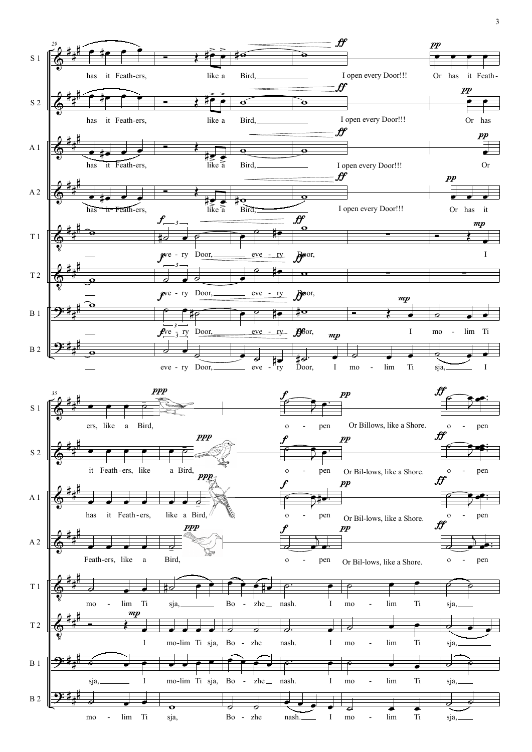

3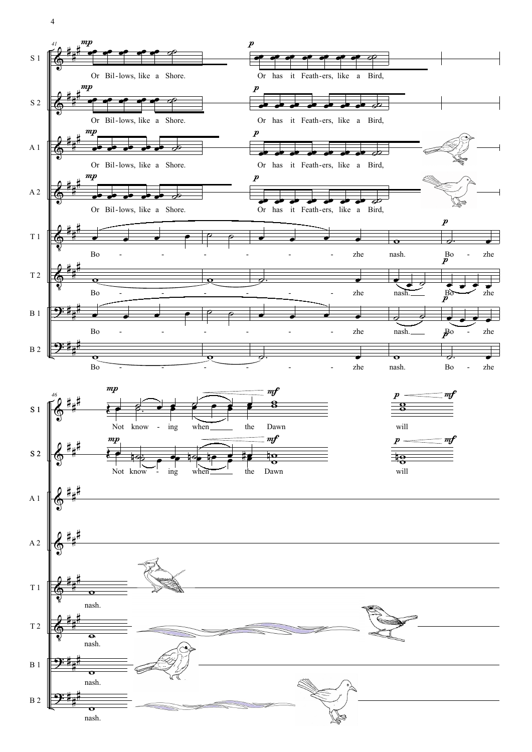

4